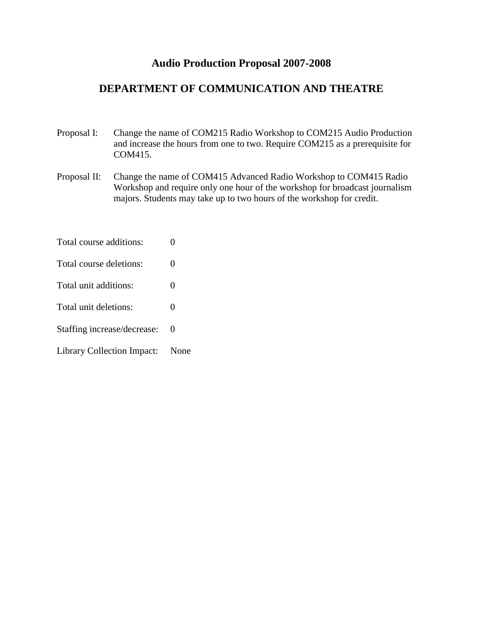# **Audio Production Proposal 2007-2008**

# **DEPARTMENT OF COMMUNICATION AND THEATRE**

- Proposal I: Change the name of COM215 Radio Workshop to COM215 Audio Production and increase the hours from one to two. Require COM215 as a prerequisite for COM415.
- Proposal II: Change the name of COM415 Advanced Radio Workshop to COM415 Radio Workshop and require only one hour of the workshop for broadcast journalism majors. Students may take up to two hours of the workshop for credit.
- Total course additions: 0
- Total course deletions: 0
- Total unit additions: 0
- Total unit deletions: 0
- Staffing increase/decrease: 0
- Library Collection Impact: None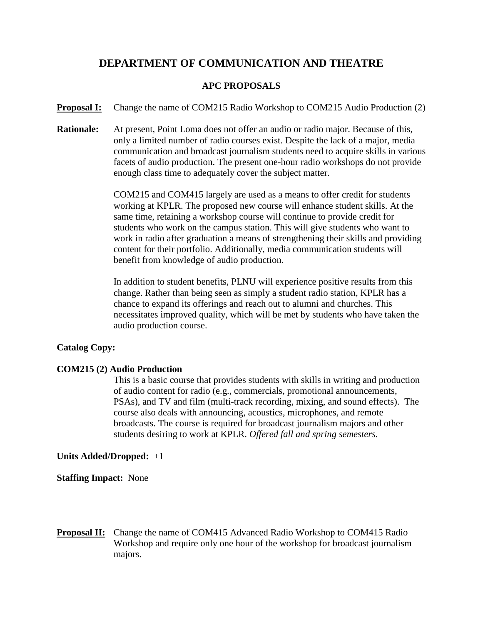# **DEPARTMENT OF COMMUNICATION AND THEATRE**

### **APC PROPOSALS**

**Proposal I:** Change the name of COM215 Radio Workshop to COM215 Audio Production (2)

**Rationale:** At present, Point Loma does not offer an audio or radio major. Because of this, only a limited number of radio courses exist. Despite the lack of a major, media communication and broadcast journalism students need to acquire skills in various facets of audio production. The present one-hour radio workshops do not provide enough class time to adequately cover the subject matter.

> COM215 and COM415 largely are used as a means to offer credit for students working at KPLR. The proposed new course will enhance student skills. At the same time, retaining a workshop course will continue to provide credit for students who work on the campus station. This will give students who want to work in radio after graduation a means of strengthening their skills and providing content for their portfolio. Additionally, media communication students will benefit from knowledge of audio production.

In addition to student benefits, PLNU will experience positive results from this change. Rather than being seen as simply a student radio station, KPLR has a chance to expand its offerings and reach out to alumni and churches. This necessitates improved quality, which will be met by students who have taken the audio production course.

## **Catalog Copy:**

#### **COM215 (2) Audio Production**

This is a basic course that provides students with skills in writing and production of audio content for radio (e.g., commercials, promotional announcements, PSAs), and TV and film (multi-track recording, mixing, and sound effects). The course also deals with announcing, acoustics, microphones, and remote broadcasts. The course is required for broadcast journalism majors and other students desiring to work at KPLR. *Offered fall and spring semesters.*

#### **Units Added/Dropped:** +1

**Staffing Impact:** None

**Proposal II:** Change the name of COM415 Advanced Radio Workshop to COM415 Radio Workshop and require only one hour of the workshop for broadcast journalism majors.